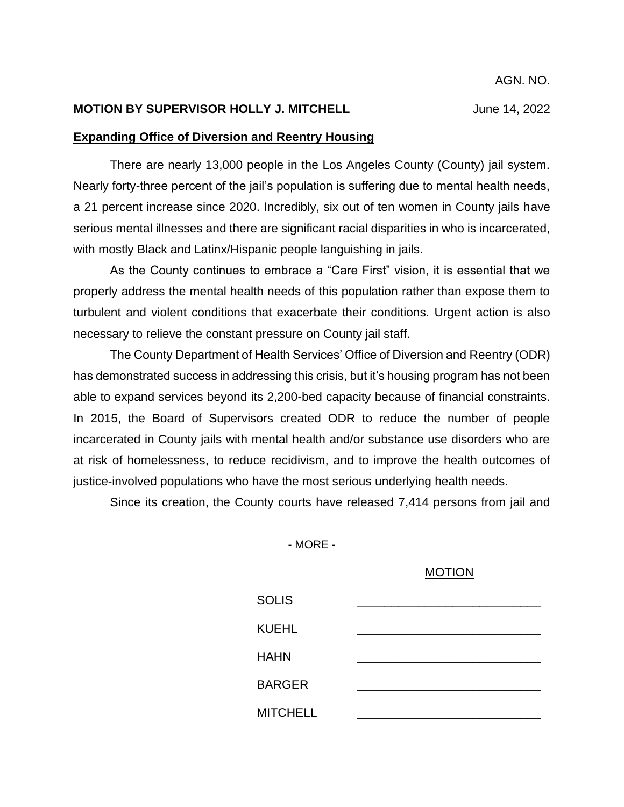#### **MOTION BY SUPERVISOR HOLLY J. MITCHELL** June 14, 2022

## **Expanding Office of Diversion and Reentry Housing**

There are nearly 13,000 people in the Los Angeles County (County) jail system. Nearly forty-three percent of the jail's population is suffering due to mental health needs, a 21 percent increase since 2020. Incredibly, six out of ten women in County jails have serious mental illnesses and there are significant racial disparities in who is incarcerated, with mostly Black and Latinx/Hispanic people languishing in jails.

As the County continues to embrace a "Care First" vision, it is essential that we properly address the mental health needs of this population rather than expose them to turbulent and violent conditions that exacerbate their conditions. Urgent action is also necessary to relieve the constant pressure on County jail staff.

The County Department of Health Services' Office of Diversion and Reentry (ODR) has demonstrated success in addressing this crisis, but it's housing program has not been able to expand services beyond its 2,200-bed capacity because of financial constraints. In 2015, the Board of Supervisors created ODR to reduce the number of people incarcerated in County jails with mental health and/or substance use disorders who are at risk of homelessness, to reduce recidivism, and to improve the health outcomes of justice-involved populations who have the most serious underlying health needs.

Since its creation, the County courts have released 7,414 persons from jail and

- MORE -

#### MOTION

| <b>SOLIS</b>    |  |
|-----------------|--|
| <b>KUEHL</b>    |  |
| <b>HAHN</b>     |  |
| <b>BARGER</b>   |  |
| <b>MITCHELL</b> |  |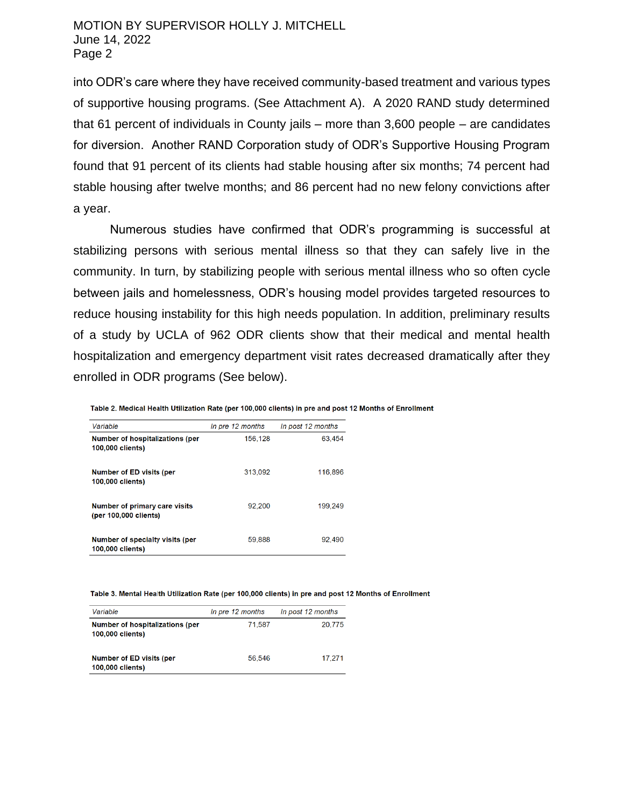## MOTION BY SUPERVISOR HOLLY J. MITCHELL June 14, 2022 Page 2

into ODR's care where they have received community-based treatment and various types of supportive housing programs. (See Attachment A). A 2020 RAND study determined that 61 percent of individuals in County jails – more than 3,600 people – are candidates for diversion. Another RAND Corporation study of ODR's Supportive Housing Program found that 91 percent of its clients had stable housing after six months; 74 percent had stable housing after twelve months; and 86 percent had no new felony convictions after a year.

Numerous studies have confirmed that ODR's programming is successful at stabilizing persons with serious mental illness so that they can safely live in the community. In turn, by stabilizing people with serious mental illness who so often cycle between jails and homelessness, ODR's housing model provides targeted resources to reduce housing instability for this high needs population. In addition, preliminary results of a study by UCLA of 962 ODR clients show that their medical and mental health hospitalization and emergency department visit rates decreased dramatically after they enrolled in ODR programs (See below).

Table 2. Medical Health Utilization Rate (per 100,000 clients) in pre and post 12 Months of Enrollment

| Variable                                                      | In pre 12 months | In post 12 months |
|---------------------------------------------------------------|------------------|-------------------|
| <b>Number of hospitalizations (per</b><br>100,000 clients)    | 156.128          | 63.454            |
| <b>Number of ED visits (per</b><br>100,000 clients)           | 313,092          | 116,896           |
| <b>Number of primary care visits</b><br>(per 100,000 clients) | 92.200           | 199.249           |
| Number of specialty visits (per<br>100,000 clients)           | 59.888           | 92,490            |

Table 3. Mental Health Utilization Rate (per 100,000 clients) in pre and post 12 Months of Enrollment

| Variable                                                          | In pre 12 months | In post 12 months |
|-------------------------------------------------------------------|------------------|-------------------|
| <b>Number of hospitalizations (per</b><br><b>100,000 clients)</b> | 71.587           | 20.775            |
| <b>Number of ED visits (per</b><br>100,000 clients)               | 56.546           | 17.271            |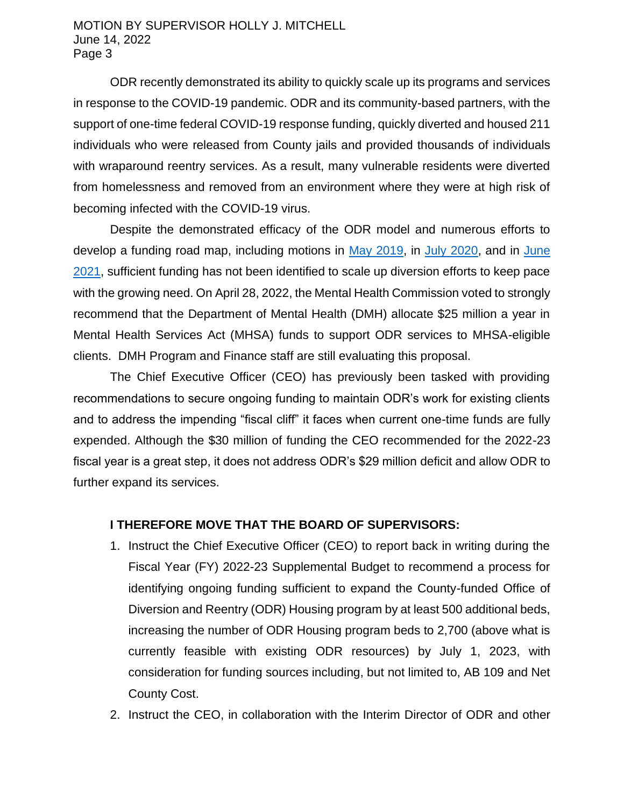## MOTION BY SUPERVISOR HOLLY J. MITCHELL June 14, 2022 Page 3

ODR recently demonstrated its ability to quickly scale up its programs and services in response to the COVID-19 pandemic. ODR and its community-based partners, with the support of one-time federal COVID-19 response funding, quickly diverted and housed 211 individuals who were released from County jails and provided thousands of individuals with wraparound reentry services. As a result, many vulnerable residents were diverted from homelessness and removed from an environment where they were at high risk of becoming infected with the COVID-19 virus.

Despite the demonstrated efficacy of the ODR model and numerous efforts to develop a funding road map, including motions in [May 2019,](http://file.lacounty.gov/SDSInter/bos/supdocs/135516.pdf) in [July 2020,](http://file.lacounty.gov/SDSInter/bos/supdocs/146940.pdf) and in [June](http://file.lacounty.gov/SDSInter/bos/supdocs/159327.pdf)  [2021,](http://file.lacounty.gov/SDSInter/bos/supdocs/159327.pdf) sufficient funding has not been identified to scale up diversion efforts to keep pace with the growing need. On April 28, 2022, the Mental Health Commission voted to strongly recommend that the Department of Mental Health (DMH) allocate \$25 million a year in Mental Health Services Act (MHSA) funds to support ODR services to MHSA-eligible clients. DMH Program and Finance staff are still evaluating this proposal.

The Chief Executive Officer (CEO) has previously been tasked with providing recommendations to secure ongoing funding to maintain ODR's work for existing clients and to address the impending "fiscal cliff" it faces when current one-time funds are fully expended. Although the \$30 million of funding the CEO recommended for the 2022-23 fiscal year is a great step, it does not address ODR's \$29 million deficit and allow ODR to further expand its services.

# **I THEREFORE MOVE THAT THE BOARD OF SUPERVISORS:**

- 1. Instruct the Chief Executive Officer (CEO) to report back in writing during the Fiscal Year (FY) 2022-23 Supplemental Budget to recommend a process for identifying ongoing funding sufficient to expand the County-funded Office of Diversion and Reentry (ODR) Housing program by at least 500 additional beds, increasing the number of ODR Housing program beds to 2,700 (above what is currently feasible with existing ODR resources) by July 1, 2023, with consideration for funding sources including, but not limited to, AB 109 and Net County Cost.
- 2. Instruct the CEO, in collaboration with the Interim Director of ODR and other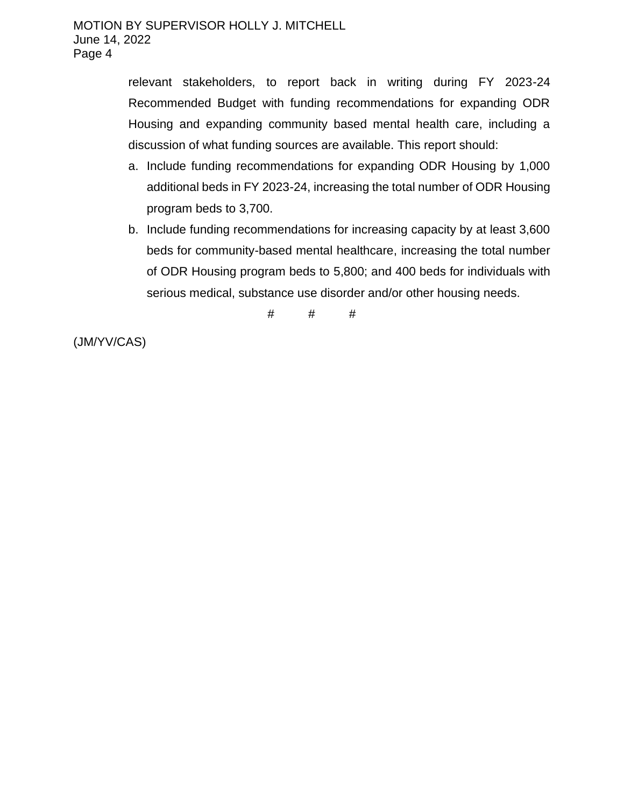relevant stakeholders, to report back in writing during FY 2023-24 Recommended Budget with funding recommendations for expanding ODR Housing and expanding community based mental health care, including a discussion of what funding sources are available. This report should:

- a. Include funding recommendations for expanding ODR Housing by 1,000 additional beds in FY 2023-24, increasing the total number of ODR Housing program beds to 3,700.
- b. Include funding recommendations for increasing capacity by at least 3,600 beds for community-based mental healthcare, increasing the total number of ODR Housing program beds to 5,800; and 400 beds for individuals with serious medical, substance use disorder and/or other housing needs.

 $#$   $#$   $#$ 

(JM/YV/CAS)